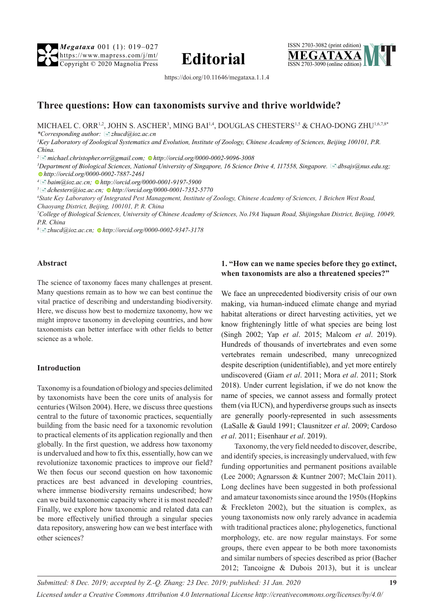*Megataxa* 001 (1): 019–027 https://www.mapress.com/j/mt/ **Editorial**  $\frac{\text{https://www.mapers.com/j/mL}}{\text{Copyright © 2020 Magnolia Press}}$  **Editorial** 





https://doi.org/10.11646/megataxa.1.1.4

# **Three questions: How can taxonomists survive and thrive worldwide?**

MICHAEL C. ORR<sup>1,2</sup>, JOHN S. ASCHER<sup>3</sup>, MING BAI<sup>1,4</sup>, DOUGLAS CHESTERS<sup>1,5</sup> & CHAO-DONG ZHU<sup>1,6,7,8</sup>\* *\*Corresponding author:* [�](mailto:zhucd@ioz.ac.cn)*zhucd@ioz.ac.cn*

*1 Key Laboratory of Zoological Systematics and Evolution, Institute of Zoology, Chinese Academy of Sciences, Beijing 100101, P.R. China.*

*<sup>2</sup>*[�](mailto:michael.christopher.orr@gmail.com)*michael.christopher.orr@gmail.com[; h](http://orcid.org/0000-0002-9096-3008)ttp://orcid.org/0000-0002-9096-3008*

*3 Department of Biological Sciences, National University of Singapore, 16 Science Drive 4, 117558, Singapore.* [�](mailto:dbsajs@nus.edu.sg)*dbsajs@nus.edu.sg; [h](http://orcid.org/0000-0002-7887-2461)ttp://orcid.org/0000-0002-7887-2461*

*<sup>4</sup>*[�](mailto:baim@ioz.ac.cn)*baim@ioz.ac.cn; [h](http://orcid.org/0000-0001-9197-5900)ttp://orcid.org/0000-0001-9197-5900*

*<sup>5</sup>*[�](mailto:dchesters@ioz.ac.cn)*dchesters@ioz.ac.cn; [h](http://orcid.org/0000-0001-7352-5770)ttp://orcid.org/0000-0001-7352-5770*

*6 State Key Laboratory of Integrated Pest Management, Institute of Zoology, Chinese Academy of Sciences, 1 Beichen West Road,* 

*Chaoyang District, Beijing, 100101, P. R. China*

*7 College of Biological Sciences, University of Chinese Academy of Sciences, No.19A Yuquan Road, Shijingshan District, Beijing, 10049, P.R. China*

*8*[�](mailto:zhucd@ioz.ac.cn)*zhucd@ioz.ac.cn; [h](http://orcid.org/0000-0002-9347-3178)ttp://orcid.org/0000-0002-9347-3178*

#### **Abstract**

The science of taxonomy faces many challenges at present. Many questions remain as to how we can best continue the vital practice of describing and understanding biodiversity. Here, we discuss how best to modernize taxonomy, how we might improve taxonomy in developing countries, and how taxonomists can better interface with other fields to better science as a whole.

#### **Introduction**

Taxonomy is a foundation of biology and species delimited by taxonomists have been the core units of analysis for centuries (Wilson 2004). Here, we discuss three questions central to the future of taxonomic practices, sequentially building from the basic need for a taxonomic revolution to practical elements of its application regionally and then globally. In the first question, we address how taxonomy is undervalued and how to fix this, essentially, how can we revolutionize taxonomic practices to improve our field? We then focus our second question on how taxonomic practices are best advanced in developing countries, where immense biodiversity remains undescribed; how can we build taxonomic capacity where it is most needed? Finally, we explore how taxonomic and related data can be more effectively unified through a singular species data repository, answering how can we best interface with other sciences?

#### **1. "How can we name species before they go extinct, when taxonomists are also a threatened species?"**

We face an unprecedented biodiversity crisis of our own making, via human-induced climate change and myriad habitat alterations or direct harvesting activities, yet we know frighteningly little of what species are being lost (Singh 2002; Yap *et al*. 2015; Malcom *et al*. 2019). Hundreds of thousands of invertebrates and even some vertebrates remain undescribed, many unrecognized despite description (unidentifiable), and yet more entirely undiscovered (Giam *et al*. 2011; Mora *et al*. 2011; Stork 2018). Under current legislation, if we do not know the name of species, we cannot assess and formally protect them (via IUCN), and hyperdiverse groups such as insects are generally poorly-represented in such assessments (LaSalle & Gauld 1991; Clausnitzer *et al*. 2009; Cardoso *et al*. 2011; Eisenhaur *et al*. 2019).

Taxonomy, the very field needed to discover, describe, and identify species, is increasingly undervalued, with few funding opportunities and permanent positions available (Lee 2000; Agnarsson & Kuntner 2007; McClain 2011). Long declines have been suggested in both professional and amateur taxonomists since around the 1950s (Hopkins & Freckleton 2002), but the situation is complex, as young taxonomists now only rarely advance in academia with traditional practices alone; phylogenetics, functional morphology, etc. are now regular mainstays. For some groups, there even appear to be both more taxonomists and similar numbers of species described as prior (Bacher 2012; Tancoigne & Dubois 2013), but it is unclear

*Submitted: 8 Dec. 2019; accepted by Z.-Q. Zhang: 23 Dec. 2019; published: 31 Jan. 2020* **19** *Licensed under a Creative Commons Attribution 4.0 International License http://creativecommons.org/licenses/by/4.0/*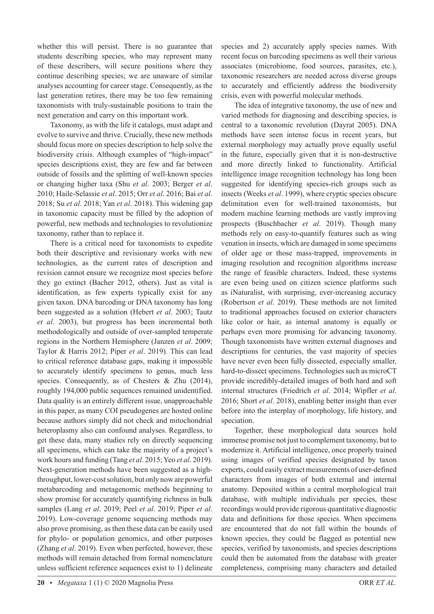whether this will persist. There is no guarantee that students describing species, who may represent many of these describers, will secure positions where they continue describing species; we are unaware of similar analyses accounting for career stage. Consequently, as the last generation retires, there may be too few remaining taxonomists with truly-sustainable positions to train the next generation and carry on this important work.

Taxonomy, as with the life it catalogs, must adapt and evolve to survive and thrive. Crucially, these new methods should focus more on species description to help solve the biodiversity crisis. Although examples of "high-impact" species descriptions exist, they are few and far between outside of fossils and the splitting of well-known species or changing higher taxa (Shu *et al*. 2003; Berger *et al*. 2010; Haile-Selassie *et al*. 2015; Orr *et al*. 2016; Bai *et al*. 2018; Su *et al*. 2018; Yan *et al*. 2018). This widening gap in taxonomic capacity must be filled by the adoption of powerful, new methods and technologies to revolutionize taxonomy, rather than to replace it.

There is a critical need for taxonomists to expedite both their descriptive and revisionary works with new technologies, as the current rates of description and revision cannot ensure we recognize most species before they go extinct (Bacher 2012, others). Just as vital is identification, as few experts typically exist for any given taxon. DNA barcoding or DNA taxonomy has long been suggested as a solution (Hebert *et al*. 2003; Tautz *et al*. 2003), but progress has been incremental both methodologically and outside of over-sampled temperate regions in the Northern Hemisphere (Janzen *et al*. 2009; Taylor & Harris 2012; Piper *et al*. 2019). This can lead to critical reference database gaps, making it impossible to accurately identify specimens to genus, much less species. Consequently, as of Chesters & Zhu (2014), roughly 194,000 public sequences remained unidentified. Data quality is an entirely different issue, unapproachable in this paper, as many COI pseudogenes are hosted online because authors simply did not check and mitochondrial heteroplasmy also can confound analyses. Regardless, to get these data, many studies rely on directly sequencing all specimens, which can take the majority of a project's work hours and funding (Tang *et al*. 2015; Yeo *et al*. 2019). Next-generation methods have been suggested as a highthroughput, lower-cost solution, but only now are powerful metabarcoding and metagenomic methods beginning to show promise for accurately quantifying richness in bulk samples (Lang *et al*. 2019; Peel *et al*. 2019; Piper *et al*. 2019). Low-coverage genome sequencing methods may also prove promising, as then these data can be easily used for phylo- or population genomics, and other purposes (Zhang *et al*. 2019). Even when perfected, however, these methods will remain detached from formal nomenclature unless sufficient reference sequences exist to 1) delineate

species and 2) accurately apply species names. With recent focus on barcoding specimens as well their various associates (microbiome, food sources, parasites, etc.), taxonomic researchers are needed across diverse groups to accurately and efficiently address the biodiversity crisis, even with powerful molecular methods.

The idea of integrative taxonomy, the use of new and varied methods for diagnosing and describing species, is central to a taxonomic revolution (Dayrat 2005). DNA methods have seen intense focus in recent years, but external morphology may actually prove equally useful in the future, especially given that it is non-destructive and more directly linked to functionality. Artificial intelligence image recognition technology has long been suggested for identifying species-rich groups such as insects (Weeks *et al*. 1999), where cryptic species obscure delimitation even for well-trained taxonomists, but modern machine learning methods are vastly improving prospects (Buschbacher *et al*. 2019). Though many methods rely on easy-to-quantify features such as wing venation in insects, which are damaged in some specimens of older age or those mass-trapped, improvements in imaging resolution and recognition algorithms increase the range of feasible characters. Indeed, these systems are even being used on citizen science platforms such as iNaturalist, with surprising, ever-increasing accuracy (Robertson *et al*. 2019). These methods are not limited to traditional approaches focused on exterior characters like color or hair, as internal anatomy is equally or perhaps even more promising for advancing taxonomy. Though taxonomists have written external diagnoses and descriptions for centuries, the vast majority of species have never even been fully dissected, especially smaller, hard-to-dissect specimens. Technologies such as microCT provide incredibly-detailed images of both hard and soft internal structures (Friedrich *et al*. 2014; Wipfler *et al*. 2016; Short *et al*. 2018), enabling better insight than ever before into the interplay of morphology, life history, and speciation.

Together, these morphological data sources hold immense promise not just to complement taxonomy, but to modernize it. Artificial intelligence, once properly trained using images of verified species designated by taxon experts, could easily extract measurements of user-defined characters from images of both external and internal anatomy. Deposited within a central morphological trait database, with multiple individuals per species, these recordings would provide rigorous quantitative diagnostic data and definitions for those species. When specimens are encountered that do not fall within the bounds of known species, they could be flagged as potential new species, verified by taxonomists, and species descriptions could then be automated from the database with greater completeness, comprising many characters and detailed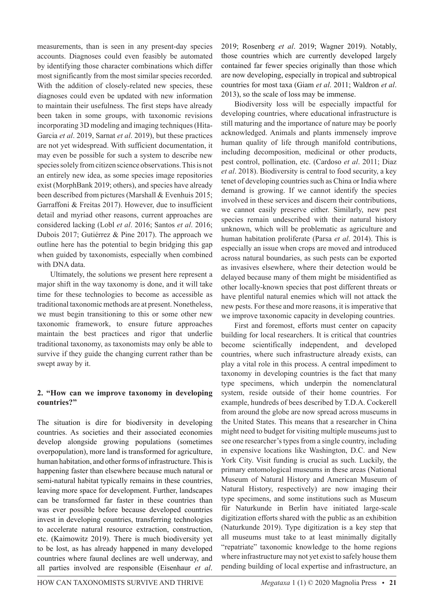measurements, than is seen in any present-day species accounts. Diagnoses could even feasibly be automated by identifying those character combinations which differ most significantly from the most similar species recorded. With the addition of closely-related new species, these diagnoses could even be updated with new information to maintain their usefulness. The first steps have already been taken in some groups, with taxonomic revisions incorporating 3D modeling and imaging techniques (Hita-Garcia *et al*. 2019, Sarnat *et al*. 2019), but these practices are not yet widespread. With sufficient documentation, it may even be possible for such a system to describe new species solely from citizen science observations. This is not an entirely new idea, as some species image repositories exist (MorphBank 2019; others), and species have already been described from pictures (Marshall & Evenhuis 2015; Garraffoni & Freitas 2017). However, due to insufficient detail and myriad other reasons, current approaches are considered lacking (Lobl *et al*. 2016; Santos *et al*. 2016; Dubois 2017; Gutiérrez & Pine 2017). The approach we outline here has the potential to begin bridging this gap when guided by taxonomists, especially when combined with DNA data.

Ultimately, the solutions we present here represent a major shift in the way taxonomy is done, and it will take time for these technologies to become as accessible as traditional taxonomic methods are at present. Nonetheless, we must begin transitioning to this or some other new taxonomic framework, to ensure future approaches maintain the best practices and rigor that underlie traditional taxonomy, as taxonomists may only be able to survive if they guide the changing current rather than be swept away by it.

## **2. "How can we improve taxonomy in developing countries?"**

The situation is dire for biodiversity in developing countries. As societies and their associated economies develop alongside growing populations (sometimes overpopulation), more land is transformed for agriculture, human habitation, and other forms of infrastructure. This is happening faster than elsewhere because much natural or semi-natural habitat typically remains in these countries, leaving more space for development. Further, landscapes can be transformed far faster in these countries than was ever possible before because developed countries invest in developing countries, transferring technologies to accelerate natural resource extraction, construction, etc. (Kaimowitz 2019). There is much biodiversity yet to be lost, as has already happened in many developed countries where faunal declines are well underway, and all parties involved are responsible (Eisenhaur *et al*.

2019; Rosenberg *et al*. 2019; Wagner 2019). Notably, those countries which are currently developed largely contained far fewer species originally than those which are now developing, especially in tropical and subtropical countries for most taxa (Giam *et al*. 2011; Waldron *et al*. 2013), so the scale of loss may be immense.

Biodiversity loss will be especially impactful for developing countries, where educational infrastructure is still maturing and the importance of nature may be poorly acknowledged. Animals and plants immensely improve human quality of life through manifold contributions, including decomposition, medicinal or other products, pest control, pollination, etc. (Cardoso *et al*. 2011; Diaz *et al*. 2018). Biodiversity is central to food security, a key tenet of developing countries such as China or India where demand is growing. If we cannot identify the species involved in these services and discern their contributions, we cannot easily preserve either. Similarly, new pest species remain undescribed with their natural history unknown, which will be problematic as agriculture and human habitation proliferate (Parsa *et al*. 2014). This is especially an issue when crops are moved and introduced across natural boundaries, as such pests can be exported as invasives elsewhere, where their detection would be delayed because many of them might be misidentified as other locally-known species that post different threats or have plentiful natural enemies which will not attack the new pests. For these and more reasons, it is imperative that we improve taxonomic capacity in developing countries.

First and foremost, efforts must center on capacity building for local researchers. It is critical that countries become scientifically independent, and developed countries, where such infrastructure already exists, can play a vital role in this process. A central impediment to taxonomy in developing countries is the fact that many type specimens, which underpin the nomenclatural system, reside outside of their home countries. For example, hundreds of bees described by T.D.A. Cockerell from around the globe are now spread across museums in the United States. This means that a researcher in China might need to budget for visiting multiple museums just to see one researcher's types from a single country, including in expensive locations like Washington, D.C. and New York City. Visit funding is crucial as such. Luckily, the primary entomological museums in these areas (National Museum of Natural History and American Museum of Natural History, respectively) are now imaging their type specimens, and some institutions such as Museum für Naturkunde in Berlin have initiated large-scale digitization efforts shared with the public as an exhibition (Naturkunde 2019). Type digitization is a key step that all museums must take to at least minimally digitally "repatriate" taxonomic knowledge to the home regions where infrastructure may not yet exist to safely house them pending building of local expertise and infrastructure, an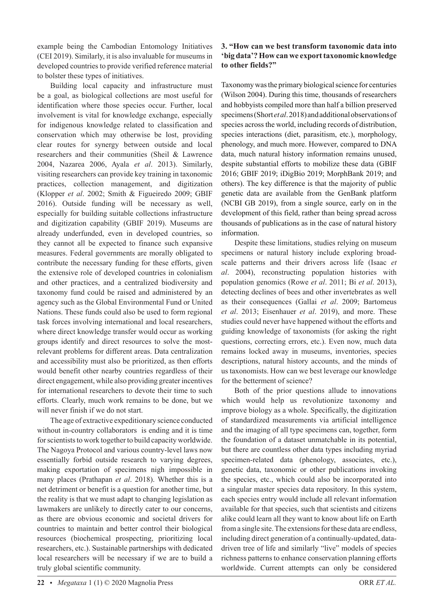example being the Cambodian Entomology Initiatives (CEI 2019). Similarly, it is also invaluable for museums in developed countries to provide verified reference material to bolster these types of initiatives.

Building local capacity and infrastructure must be a goal, as biological collections are most useful for identification where those species occur. Further, local involvement is vital for knowledge exchange, especially for indigenous knowledge related to classification and conservation which may otherwise be lost, providing clear routes for synergy between outside and local researchers and their communities (Sheil & Lawrence 2004, Nazarea 2006, Ayala *et al*. 2013). Similarly, visiting researchers can provide key training in taxonomic practices, collection management, and digitization (Klopper *et al*. 2002; Smith & Figueiredo 2009; GBIF 2016). Outside funding will be necessary as well, especially for building suitable collections infrastructure and digitization capability (GBIF 2019). Museums are already underfunded, even in developed countries, so they cannot all be expected to finance such expansive measures. Federal governments are morally obligated to contribute the necessary funding for these efforts, given the extensive role of developed countries in colonialism and other practices, and a centralized biodiversity and taxonomy fund could be raised and administered by an agency such as the Global Environmental Fund or United Nations. These funds could also be used to form regional task forces involving international and local researchers, where direct knowledge transfer would occur as working groups identify and direct resources to solve the mostrelevant problems for different areas. Data centralization and accessibility must also be prioritized, as then efforts would benefit other nearby countries regardless of their direct engagement, while also providing greater incentives for international researchers to devote their time to such efforts. Clearly, much work remains to be done, but we will never finish if we do not start.

The age of extractive expeditionary science conducted without in-country collaborators is ending and it is time for scientists to work together to build capacity worldwide. The Nagoya Protocol and various country-level laws now essentially forbid outside research to varying degrees, making exportation of specimens nigh impossible in many places (Prathapan *et al*. 2018). Whether this is a net detriment or benefit is a question for another time, but the reality is that we must adapt to changing legislation as lawmakers are unlikely to directly cater to our concerns, as there are obvious economic and societal drivers for countries to maintain and better control their biological resources (biochemical prospecting, prioritizing local researchers, etc.). Sustainable partnerships with dedicated local researchers will be necessary if we are to build a truly global scientific community.

## **3. "How can we best transform taxonomic data into 'big data'? How can we export taxonomic knowledge to other fields?"**

Taxonomy was the primary biological science for centuries (Wilson 2004). During this time, thousands of researchers and hobbyists compiled more than half a billion preserved specimens (Short *et al*. 2018) and additional observations of species across the world, including records of distribution, species interactions (diet, parasitism, etc.), morphology, phenology, and much more. However, compared to DNA data, much natural history information remains unused, despite substantial efforts to mobilize these data (GBIF 2016; GBIF 2019; iDigBio 2019; MorphBank 2019; and others). The key difference is that the majority of public genetic data are available from the GenBank platform (NCBI GB 2019), from a single source, early on in the development of this field, rather than being spread across thousands of publications as in the case of natural history information.

Despite these limitations, studies relying on museum specimens or natural history include exploring broadscale patterns and their drivers across life (Isaac *et al*. 2004), reconstructing population histories with population genomics (Rowe *et al*. 2011; Bi *et al*. 2013), detecting declines of bees and other invertebrates as well as their consequences (Gallai *et al*. 2009; Bartomeus *et al*. 2013; Eisenhauer *et al*. 2019), and more. These studies could never have happened without the efforts and guiding knowledge of taxonomists (for asking the right questions, correcting errors, etc.). Even now, much data remains locked away in museums, inventories, species descriptions, natural history accounts, and the minds of us taxonomists. How can we best leverage our knowledge for the betterment of science?

Both of the prior questions allude to innovations which would help us revolutionize taxonomy and improve biology as a whole. Specifically, the digitization of standardized measurements via artificial intelligence and the imaging of all type specimens can, together, form the foundation of a dataset unmatchable in its potential, but there are countless other data types including myriad specimen-related data (phenology, associates, etc.), genetic data, taxonomic or other publications invoking the species, etc., which could also be incorporated into a singular master species data repository. In this system, each species entry would include all relevant information available for that species, such that scientists and citizens alike could learn all they want to know about life on Earth from a single site. The extensions for these data are endless, including direct generation of a continually-updated, datadriven tree of life and similarly "live" models of species richness patterns to enhance conservation planning efforts worldwide. Current attempts can only be considered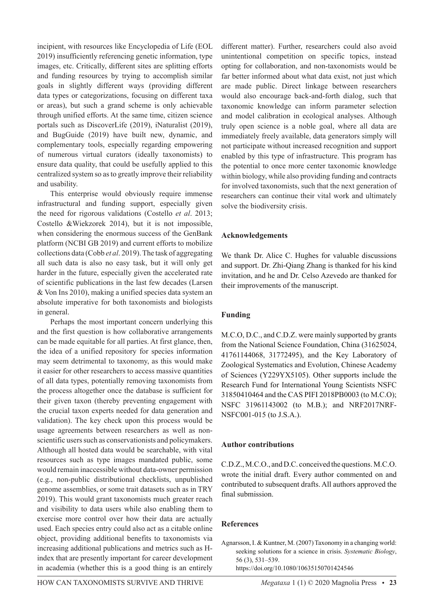incipient, with resources like Encyclopedia of Life (EOL 2019) insufficiently referencing genetic information, type images, etc. Critically, different sites are splitting efforts and funding resources by trying to accomplish similar goals in slightly different ways (providing different data types or categorizations, focusing on different taxa or areas), but such a grand scheme is only achievable through unified efforts. At the same time, citizen science portals such as DiscoverLife (2019), iNaturalist (2019), and BugGuide (2019) have built new, dynamic, and complementary tools, especially regarding empowering of numerous virtual curators (ideally taxonomists) to ensure data quality, that could be usefully applied to this centralized system so as to greatly improve their reliability and usability.

This enterprise would obviously require immense infrastructural and funding support, especially given the need for rigorous validations (Costello *et al*. 2013; Costello &Wiekzorek 2014), but it is not impossible, when considering the enormous success of the GenBank platform (NCBI GB 2019) and current efforts to mobilize collections data (Cobb *et al*. 2019). The task of aggregating all such data is also no easy task, but it will only get harder in the future, especially given the accelerated rate of scientific publications in the last few decades (Larsen & Von Ins 2010), making a unified species data system an absolute imperative for both taxonomists and biologists in general.

Perhaps the most important concern underlying this and the first question is how collaborative arrangements can be made equitable for all parties. At first glance, then, the idea of a unified repository for species information may seem detrimental to taxonomy, as this would make it easier for other researchers to access massive quantities of all data types, potentially removing taxonomists from the process altogether once the database is sufficient for their given taxon (thereby preventing engagement with the crucial taxon experts needed for data generation and validation). The key check upon this process would be usage agreements between researchers as well as nonscientific users such as conservationists and policymakers. Although all hosted data would be searchable, with vital resources such as type images mandated public, some would remain inaccessible without data-owner permission (e.g., non-public distributional checklists, unpublished genome assemblies, or some trait datasets such as in TRY 2019). This would grant taxonomists much greater reach and visibility to data users while also enabling them to exercise more control over how their data are actually used. Each species entry could also act as a citable online object, providing additional benefits to taxonomists via increasing additional publications and metrics such as Hindex that are presently important for career development in academia (whether this is a good thing is an entirely

different matter). Further, researchers could also avoid unintentional competition on specific topics, instead opting for collaboration, and non-taxonomists would be far better informed about what data exist, not just which are made public. Direct linkage between researchers would also encourage back-and-forth dialog, such that taxonomic knowledge can inform parameter selection and model calibration in ecological analyses. Although truly open science is a noble goal, where all data are immediately freely available, data generators simply will not participate without increased recognition and support enabled by this type of infrastructure. This program has the potential to once more center taxonomic knowledge within biology, while also providing funding and contracts for involved taxonomists, such that the next generation of researchers can continue their vital work and ultimately solve the biodiversity crisis.

## **Acknowledgements**

We thank Dr. Alice C. Hughes for valuable discussions and support. Dr. Zhi-Qiang Zhang is thanked for his kind invitation, and he and Dr. Celso Azevedo are thanked for their improvements of the manuscript.

## **Funding**

M.C.O, D.C., and C.D.Z. were mainly supported by grants from the National Science Foundation, China (31625024, 41761144068, 31772495), and the Key Laboratory of Zoological Systematics and Evolution, Chinese Academy of Sciences (Y229YX5105). Other supports include the Research Fund for International Young Scientists NSFC 31850410464 and the CAS PIFI 2018PB0003 (to M.C.O); NSFC 31961143002 (to M.B.); and NRF2017NRF-NSFC001-015 (to J.S.A.).

## **Author contributions**

C.D.Z., M.C.O., and D.C. conceived the questions. M.C.O. wrote the initial draft. Every author commented on and contributed to subsequent drafts. All authors approved the final submission.

## **References**

Agnarsson, I. & Kuntner, M. (2007) Taxonomy in a changing world: seeking solutions for a science in crisis. *Systematic Biology*, 56 (3), 531–539.

https://doi.org/10.1080/10635150701424546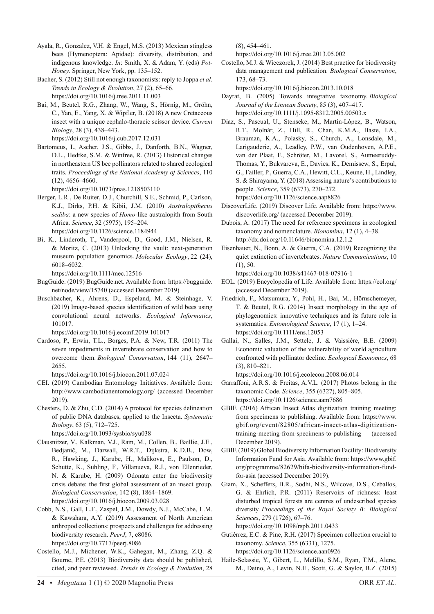- Ayala, R., Gonzalez, V.H. & Engel, M.S. (2013) Mexican stingless bees (Hymenoptera: Apidae): diversity, distribution, and indigenous knowledge. *In*: Smith, X. & Adam, Y. (eds) *Pot-Honey*. Springer, New York, pp. 135–152.
- Bacher, S. (2012) Still not enough taxonomists: reply to Joppa *et al*. *Trends in Ecology & Evolution*, 27 (2), 65–66. https://doi.org/10.1016/j.tree.2011.11.003
- Bai, M., Beutel, R.G., Zhang, W., Wang, S., Hörnig, M., Gröhn, C., Yan, E., Yang, X. & Wipfler, B. (2018) A new Cretaceous insect with a unique cephalo-thoracic scissor device. *Current Biology*, 28 (3), 438–443. https://doi.org/10.1016/j.cub.2017.12.031
- Bartomeus, I., Ascher, J.S., Gibbs, J., Danforth, B.N., Wagner, D.L., Hedtke, S.M. & Winfree, R. (2013) Historical changes in northeastern US bee pollinators related to shared ecological traits. *Proceedings of the National Academy of Sciences*, 110 (12), 4656–4660.

https://doi.org/10.1073/pnas.1218503110

- Berger, L.R., De Ruiter, D.J., Churchill, S.E., Schmid, P., Carlson, K.J., Dirks, P.H. & Kibii, J.M. (2010) *Australopithecus sediba*: a new species of *Homo*-like australopith from South Africa. *Science*, 32 (5975), 195–204. https://doi.org/10.1126/science.1184944
- Bi, K., Linderoth, T., Vanderpool, D., Good, J.M., Nielsen, R. & Moritz, C. (2013) Unlocking the vault: next-generation museum population genomics. *Molecular Ecology*, 22 (24), 6018–6032.

https://doi.org/10.1111/mec.12516

- BugGuide. (2019) BugGuide.net. Available from: https://bugguide. net/node/view/15740 (accessed December 2019)
- Buschbacher, K., Ahrens, D., Espeland, M. & Steinhage, V. (2019) Image-based species identification of wild bees using convolutional neural networks. *Ecological Informatics*, 101017.

https://doi.org/10.1016/j.ecoinf.2019.101017

Cardoso, P., Erwin, T.L., Borges, P.A. & New, T.R. (2011) The seven impediments in invertebrate conservation and how to overcome them. *Biological Conservation*, 144 (11), 2647– 2655.

https://doi.org/10.1016/j.biocon.2011.07.024

- CEI. (2019) Cambodian Entomology Initiatives. Available from: http://www.cambodianentomology.org/ (accessed December 2019).
- Chesters, D. & Zhu, C.D. (2014) A protocol for species delineation of public DNA databases, applied to the Insecta. *Systematic Biology*, 63 (5), 712–725. https://doi.org/10.1093/sysbio/syu038

Clausnitzer, V., Kalkman, V.J., Ram, M., Collen, B., Baillie, J.E.,

- Bedjanič, M., Darwall, W.R.T., Dijkstra, K.D.B., Dow, R., Hawking, J., Karube, H., Malikova, E., Paulson, D., Schutte, K., Suhling, F., Villanueva, R.J., von Ellenrieder, N. & Karube, H. (2009) Odonata enter the biodiversity crisis debate: the first global assessment of an insect group. *Biological Conservation*, 142 (8), 1864–1869. https://doi.org/10.1016/j.biocon.2009.03.028
- Cobb, N.S., Gall, L.F., Zaspel, J.M., Dowdy, N.J., McCabe, L.M. & Kawahara, A.Y. (2019) Assessment of North American arthropod collections: prospects and challenges for addressing biodiversity research. *PeerJ*, 7, e8086. https://doi.org/10.7717/peerj.8086
- Costello, M.J., Michener, W.K., Gahegan, M., Zhang, Z.Q. & Bourne, P.E. (2013) Biodiversity data should be published, cited, and peer reviewed. *Trends in Ecology & Evolution*, 28

(8), 454–461.

https://doi.org/10.1016/j.tree.2013.05.002

Costello, M.J. & Wieczorek, J. (2014) Best practice for biodiversity data management and publication. *Biological Conservation*, 173, 68–73.

https://doi.org/10.1016/j.biocon.2013.10.018

- Dayrat, B. (2005) Towards integrative taxonomy. *Biological Journal of the Linnean Society*, 85 (3), 407–417. https://doi.org/10.1111/j.1095-8312.2005.00503.x
- Díaz, S., Pascual, U., Stenseke, M., Martín-López, B., Watson, R.T., Molnár, Z., Hill, R., Chan, K.M.A., Baste, I.A., Brauman, K.A., Polasky, S., Church, A., Lonsdale, M., Larigauderie, A., Leadley, P.W., van Oudenhoven, A.P.E., van der Plaat, F., Schröter, M., Lavorel, S., Aumeeruddy-Thomas, Y., Bukvareva, E., Davies, K., Demissew, S., Erpul, G., Failler, P., Guerra, C.A., Hewitt, C.L., Keune, H., Lindley, S. & Shirayama, Y. (2018) Assessing nature's contributions to people. *Science*, 359 (6373), 270–272. https://doi.org/10.1126/science.aap8826
- DiscoverLife. (2019) Discover Life. Available from: https://www. discoverlife.org/ (accessed December 2019).
- Dubois, A. (2017) The need for reference specimens in zoological taxonomy and nomenclature. *Bionomina*, 12 (1), 4–38. http://dx.doi.org/10.11646/bionomina.12.1.2
- Eisenhauer, N., Bonn, A. & Guerra, C.A. (2019) Recognizing the quiet extinction of invertebrates. *Nature Communications*, 10 (1), 50.

https://doi.org/10.1038/s41467-018-07916-1

- EOL. (2019) Encyclopedia of Life. Available from: https://eol.org/ (accessed December 2019).
- Friedrich, F., Matsumura, Y., Pohl, H., Bai, M., Hörnschemeyer, T. & Beutel, R.G. (2014) Insect morphology in the age of phylogenomics: innovative techniques and its future role in systematics. *Entomological Science*, 17 (1), 1–24. https://doi.org/10.1111/ens.12053
- Gallai, N., Salles, J.M., Settele, J. & Vaissière, B.E. (2009) Economic valuation of the vulnerability of world agriculture confronted with pollinator decline. *Ecological Economics*, 68 (3), 810–821.

https://doi.org/10.1016/j.ecolecon.2008.06.014

- Garraffoni, A.R.S. & Freitas, A.V.L. (2017) Photos belong in the taxonomic Code. *Science*, 355 (6327), 805–805. https://doi.org/10.1126/science.aam7686
- GBIF. (2016) African Insect Atlas digitization training meeting: from specimens to publishing. Available from: https://www. gbif.org/event/82805/african-insect-atlas-digitizationtraining-meeting-from-specimens-to-publishing (accessed December 2019).
- GBIF. (2019) Global Biodiversity Information Facility: Biodiversity Information Fund for Asia. Available from: https://www.gbif. org/programme/82629/bifa-biodiversity-information-fundfor-asia (accessed December 2019).
- Giam, X., Scheffers, B.R., Sodhi, N.S., Wilcove, D.S., Ceballos, G. & Ehrlich, P.R. (2011) Reservoirs of richness: least disturbed tropical forests are centres of undescribed species diversity. *Proceedings of the Royal Society B: Biological Sciences*, 279 (1726), 67–76.

https://doi.org/10.1098/rspb.2011.0433

- Gutiérrez, E.C. & Pine, R.H. (2017) Specimen collection crucial to taxonomy. *Science*, 355 (6331), 1275. https://doi.org/10.1126/science.aan0926
- Haile-Selassie, Y., Gibert, L., Melillo, S.M., Ryan, T.M., Alene, M., Deino, A., Levin, N.E., Scott, G. & Saylor, B.Z. (2015)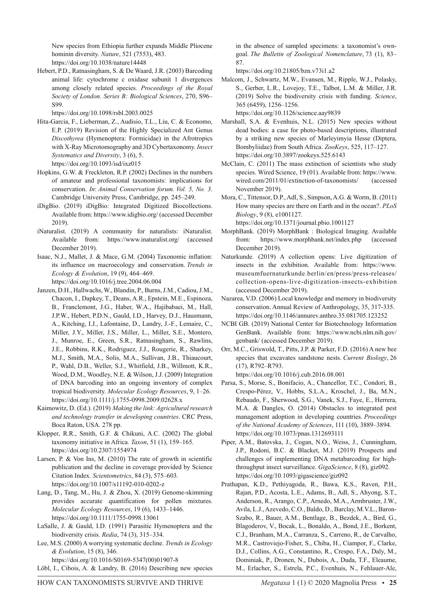New species from Ethiopia further expands Middle Pliocene hominin diversity. *Nature*, 521 (7553), 483. https://doi.org/10.1038/nature14448

Hebert, P.D., Ratnasingham, S. & De Waard, J.R. (2003) Barcoding animal life: cytochrome c oxidase subunit 1 divergences among closely related species. *Proceedings of the Royal Society of London. Series B: Biological Sciences*, 270, S96– S99.

https://doi.org/10.1098/rsbl.2003.0025

- Hita-Garcia, F., Lieberman, Z., Audisio, T.L., Liu, C. & Economo, E.P. (2019) Revision of the Highly Specialized Ant Genus *Discothyrea* (Hymenoptera: Formicidae) in the Afrotropics with X-Ray Microtomography and 3D Cybertaxonomy. *Insect Systematics and Diversity*, 3 (6), 5. https://doi.org/10.1093/isd/ixz015
- Hopkins, G.W. & Freckleton, R.P. (2002) Declines in the numbers of amateur and professional taxonomists: implications for conservation. *In*: *Animal Conservation forum. Vol. 5, No. 3*. Cambridge University Press, Cambridge, pp. 245–249.
- iDigBio. (2019) iDigBio: Integrated Digitized Biocollections. Available from: https://www.idigbio.org/ (accessed December 2019).
- iNaturalist. (2019) A community for naturalists: iNaturalist. Available from: https://www.inaturalist.org/ (accessed December 2019).
- Isaac, N.J., Mallet, J. & Mace, G.M. (2004) Taxonomic inflation: its influence on macroecology and conservation. *Trends in Ecology & Evolution*, 19 (9), 464–469. https://doi.org/10.1016/j.tree.2004.06.004
- Janzen, D.H., Hallwachs, W., Blandin, P., Burns, J.M., Cadiou, J.M., Chacon, I., Dapkey, T., Deans, A.R., Epstein, M.E., Espinoza, B., Franclemont, J.G., Haber, W.A., Hajibabaei, M., Hall, J.P.W., Hebert, P.D.N., Gauld, I.D., Harvey, D.J., Hausmann, A., Kitching, I.J., Lafontaine, D., Landry, J.-F., Lemaire, C., Miller, J.Y., Miller, J.S., Miller, L., Miller, S.E., Montero, J., Munroe, E., Green, S.R., Ratnasingham, S., Rawlins, J.E., Robbins, R.K., Rodriguez, J.J., Rougerie, R., Sharkey, M.J., Smith, M.A., Solis, M.A., Sullivan, J.B., Thiaucourt, P., Wahl, D.B., Weller, S.J., Whitfield, J.B., Willmott, K.R., Wood, D.M., Woodley, N.E. & Wilson, J.J. (2009) Integration of DNA barcoding into an ongoing inventory of complex tropical biodiversity. *Molecular Ecology Resources*, 9, 1–26. https://doi.org/10.1111/j.1755-0998.2009.02628.x
- Kaimowitz, D. (Ed.). (2019) *Making the link: Agricultural research and technology transfer in developing countries*. CRC Press, Boca Raton, USA. 278 pp.

Klopper, R.R., Smith, G.F. & Chikuni, A.C. (2002) The global taxonomy initiative in Africa. *Taxon*, 51 (1), 159–165. https://doi.org/10.2307/1554974

Larsen, P. & Von Ins, M. (2010) The rate of growth in scientific publication and the decline in coverage provided by Science Citation Index. *Scientometrics*, 84 (3), 575–603. https://doi.org/10.1007/s11192-010-0202-z

- Lang, D., Tang, M., Hu, J. & Zhou, X. (2019) Genome-skimming provides accurate quantification for pollen mixtures. *Molecular Ecology Resources*, 19 (6), 1433–1446. https://doi.org/10.1111/1755-0998.13061
- LaSalle, J. & Gauld, I.D. (1991) Parasitic Hymenoptera and the biodiversity crisis. *Redia*, 74 (3), 315–334.

Lee, M.S. (2000) A worrying systematic decline. *Trends in Ecology & Evolution*, 15 (8), 346. https://doi.org/10.1016/S0169-5347(00)01907-8

Löbl, I., Cibois, A. & Landry, B. (2016) Describing new species

in the absence of sampled specimens: a taxonomist's owngoal. *The Bulletin of Zoological Nomenclature*, 73 (1), 83– 87.

https://doi.org/10.21805/bzn.v73i1.a2

Malcom, J., Schwartz, M.W., Evansen, M., Ripple, W.J., Polasky, S., Gerber, L.R., Lovejoy, T.E., Talbot, L.M. & Miller, J.R. (2019) Solve the biodiversity crisis with funding. *Science*, 365 (6459), 1256–1256.

https://doi.org/10.1126/science.aay9839

- Marshall, S.A. & Evenhuis, N.L. (2015) New species without dead bodies: a case for photo-based descriptions, illustrated by a striking new species of Marleyimyia Hesse (Diptera, Bombyliidae) from South Africa. *ZooKeys*, 525, 117–127. https://doi.org/10.3897/zookeys.525.6143
- McClain, C. (2011) The mass extinction of scientists who study species. Wired Science, 19 (01). Available from: https://www. wired.com/2011/01/extinction-of-taxonomists/ (accessed November 2019).
- Mora, C., Tittensor, D.P., Adl, S., Simpson, A.G. & Worm, B. (2011) How many species are there on Earth and in the ocean?. *PLoS Biology*, 9 (8), e1001127. https://doi.org/10.1371/journal.pbio.1001127
- MorphBank. (2019) MorphBank : Biological Imaging. Available from: https://www.morphbank.net/index.php (accessed December 2019).
- Naturkunde. (2019) A collection opens: Live digitization of insects in the exhibition. Available from: https://www. museumfuernaturkunde.berlin/en/press/press-releases/ collection-opens-live-digitization-insects-exhibition (accessed December 2019).
- Nazarea, V.D. (2006) Local knowledge and memory in biodiversity conservation. Annual Review of Anthropology, 35, 317-335. https://doi.org/10.1146/annurev.anthro.35.081705.123252
- NCBI GB. (2019) National Center for Biotechnology Information GenBank. Available from: https://www.ncbi.nlm.nih.gov/ genbank/ (accessed December 2019).
- Orr, M.C., Griswold, T., Pitts, J.P. & Parker, F.D. (2016) A new bee species that excavates sandstone nests. *Current Biology*, 26 (17), R792–R793. https://doi.org/10.1016/j.cub.2016.08.001
- Parsa, S., Morse, S., Bonifacio, A., Chancellor, T.C., Condori, B., Crespo-Pérez, V., Hobbs, S.L.A., Kroschel, J., Ba, M.N., Rebaudo, F., Sherwood, S.G., Vanek, S.J., Faye, E., Herrera, M.A. & Dangles, O. (2014) Obstacles to integrated pest management adoption in developing countries. *Proceedings of the National Academy of Sciences*, 111 (10), 3889–3894. https://doi.org/10.1073/pnas.1312693111
- Piper, A.M., Batovska, J., Cogan, N.O., Weiss, J., Cunningham, J.P., Rodoni, B.C. & Blacket, M.J. (2019) Prospects and challenges of implementing DNA metabarcoding for highthroughput insect surveillance. *GigaScience*, 8 (8), giz092. https://doi.org/10.1093/gigascience/giz092
- Prathapan, K.D., Pethiyagoda, R., Bawa, K.S., Raven, P.H., Rajan, P.D., Acosta, L.E., Adams, B., Adl, S., Ahyong, S.T., Anderson, R., Arango, C.P., Arnedo, M.A., Armbruster, J.W., Avila, L.J., Azevedo, C.O., Baldo, D., Barclay, M.V.L., Baron-Szabo, R., Bauer, A.M., Bentlage, B., Bezdek, A., Bird, G., Blagoderov, V., Bocak, L., Bonaldo, A., Bond, J.E., Borkent, C.J., Branham, M.A., Carranza, S., Carreno, R., de Carvalho, M.R., Castroviejo-Fisher, S., Chiba, H., Ciampor, F., Clarke, D.J., Collins, A.G., Constantino, R., Crespo, F.A., Daly, M., Dominiak, P., Dronen, N., Dubois, A., Duda, T.F., Eleaume, M., Erlacher, S., Estrela, P.C., Evenhuis, N., Fehlauer-Ale,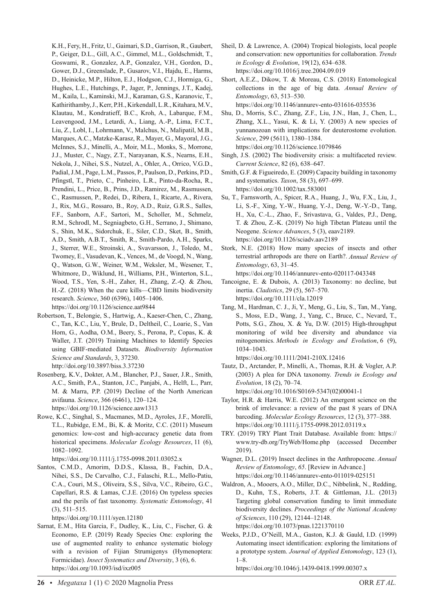K.H., Fery, H., Fritz, U., Gaimari, S.D., Garrison, R., Gaubert, P., Geiger, D.L., Gill, A.C., Gimmel, M.L., Goldschmidt, T., Goswami, R., Gonzalez, A.P., Gonzalez, V.H., Gordon, D., Gower, D.J., Greenslade, P., Gusarov, V.I., Hajdu, E., Harms, D., Heinicke, M.P., Hilton, E.J., Hodgson, C.J., Hormiga, G., Hughes, L.E., Hutchings, P., Jager, P., Jennings, J.T., Kadej, M., Kaila, L., Kaminski, M.J., Karaman, G.S., Karanovic, T., Kathirithamby, J., Kerr, P.H., Kirkendall, L.R., Kitahara, M.V., Klautau, M., Kondratieff, B.C., Kroh, A., Labarque, F.M., Leavengood, J.M., Letardi, A., Liang, A.-P., Lima, F.C.T., Liu, Z., Lobl, I., Lohrmann, V., Malchus, N., Malipatil, M.B., Marques, A.C., Matzke-Karasz, R., Mayer, G., Mayoral, J.G., McInnes, S.J., Minelli, A., Moir, M.L., Monks, S., Morrone, J.J., Muster, C., Nagy, Z.T., Narayanan, K.S., Nearns, E.H., Nekola, J., Nihei, S.S., Nutzel, A., Ohler, A., Orrico, V.G.D., Padial, J.M., Page, L.M., Passos, P., Paulson, D., Perkins, P.D., Pfingstl, T., Prieto, C., Pinheiro, L.R., Pinto-da-Rocha, R., Prendini, L., Price, B., Prins, J.D., Ramirez, M., Rasmussen, C., Rasmussen, P., Redei, D., Ribera, I., Ricarte, A., Rivera, J., Rix, M.G., Rossaro, B., Roy, A.D., Ruiz, G.R.S., Salles, F.F., Sanborn, A.F., Sartori, M., Scholler, M., Schmelz, R.M., Schrodl, M., Segniagbeto, G.H., Serrano, J., Shimano, S., Shin, M.K., Sidorchuk, E., Siler, C.D., Sket, B., Smith, A.D., Smith, A.B.T., Smith, R., Smith-Pardo, A.H., Sparks, J., Sterrer, W.E., Stroinski, A., Svavarsson, J., Toledo, M., Twomey, E., Vasudevan, K., Vences, M., de Voogd, N., Wang, Q., Watson, G.W., Weiner, W.M., Weksler, M., Wesener, T., Whitmore, D., Wiklund, H., Williams, P.H., Winterton, S.L., Wood, T.S., Yen, S.-H., Zaher, H., Zhang, Z.-Q. & Zhou, H.-Z. (2018) When the cure kills—CBD limits biodiversity research. *Science*, 360 (6396), 1405–1406. https://doi.org/10.1126/science.aat9844

Robertson, T., Belongie, S., Hartwig, A., Kaeser-Chen, C., Zhang, C., Tan, K.C., Liu, Y., Brule, D., Deltheil, C., Loarie, S., Van Horn, G., Aodha, O.M., Beery, S., Perona, P., Copas, K. & Waller, J.T. (2019) Training Machines to Identify Species using GBIF-mediated Datasets. *Biodiversity Information Science and Standards*, 3, 37230. http://doi.org/10.3897/biss.3.37230

- Rosenberg, K.V., Dokter, A.M., Blancher, P.J., Sauer, J.R., Smith, A.C., Smith, P.A., Stanton, J.C., Panjabi, A., Helft, L., Parr, M. & Marra, P.P. (2019) Decline of the North American avifauna. *Science*, 366 (6461), 120–124. https://doi.org/10.1126/science.aaw1313
- Rowe, K.C., Singhal, S., Macmanes, M.D., Ayroles, J.F., Morelli, T.L., Rubidge, E.M., Bi, K. & Moritz, C.C. (2011) Museum genomics: low-cost and high-accuracy genetic data from historical specimens. *Molecular Ecology Resources*, 11 (6), 1082–1092.

https://doi.org/10.1111/j.1755-0998.2011.03052.x

Santos, C.M.D., Amorim, D.D.S., Klassa, B., Fachin, D.A., Nihei, S.S., De Carvalho, C.J., Falaschi, R.L., Mello-Patiu, C.A., Couri, M.S., Oliveira, S.S., Silva, V.C., Ribeiro, G.C., Capellari, R.S. & Lamas, C.J.E. (2016) On typeless species and the perils of fast taxonomy. *Systematic Entomology*, 41 (3), 511–515.

https://doi.org/10.1111/syen.12180

Sarnat, E.M., Hita Garcia, F., Dudley, K., Liu, C., Fischer, G. & Economo, E.P. (2019) Ready Species One: exploring the use of augmented reality to enhance systematic biology with a revision of Fijian Strumigenys (Hymenoptera: Formicidae). *Insect Systematics and Diversity*, 3 (6), 6. https://doi.org/10.1093/isd/ixz005

Sheil, D. & Lawrence, A. (2004) Tropical biologists, local people and conservation: new opportunities for collaboration. *Trends in Ecology & Evolution*, 19(12), 634–638. https://doi.org/10.1016/j.tree.2004.09.019

Short, A.E.Z., Dikow, T. & Moreau, C.S. (2018) Entomological collections in the age of big data. *Annual Review of Entomology*, 63, 513–530. https://doi.org/10.1146/annurev-ento-031616-035536

- Shu, D., Morris, S.C., Zhang, Z.F., Liu, J.N., Han, J., Chen, L., Zhang, X.L., Yasui, K. & Li, Y. (2003) A new species of yunnanozoan with implications for deuterostome evolution. *Science*, 299 (5611), 1380–1384. https://doi.org/10.1126/science.1079846
- Singh, J.S. (2002) The biodiversity crisis: a multifaceted review. *Current Science*, 82 (6), 638–647.
- Smith, G.F. & Figueiredo, E. (2009) Capacity building in taxonomy and systematics. *Taxon*, 58 (3), 697–699. https://doi.org/10.1002/tax.583001
- Su, T., Farnsworth, A., Spicer, R.A., Huang, J., Wu, F.X., Liu, J., Li, S.-F., Xing, Y.-W., Huang, Y.-J., Deng, W.-Y.-D., Tang, H., Xu, C.-L., Zhao, F., Srivastava, G., Valdes, P.J., Deng, T. & Zhou, Z.-K. (2019) No high Tibetan Plateau until the Neogene. *Science Advances*, 5 (3), eaav2189. https://doi.org/10.1126/sciadv.aav2189
- Stork, N.E. (2018) How many species of insects and other terrestrial arthropods are there on Earth?. *Annual Review of Entomology*, 63, 31–45.
- https://doi.org/10.1146/annurev-ento-020117-043348 Tancoigne, E. & Dubois, A. (2013) Taxonomy: no decline, but inertia. *Cladistics*, 29 (5), 567–570. https://doi.org/10.1111/cla.12019
- Tang, M., Hardman, C. J., Ji, Y., Meng, G., Liu, S., Tan, M., Yang, S., Moss, E.D., Wang, J., Yang, C., Bruce, C., Nevard, T., Potts, S.G., Zhou, X. & Yu, D.W. (2015) High-throughput monitoring of wild bee diversity and abundance via mitogenomics. *Methods in Ecology and Evolution*, 6 (9), 1034–1043.
- https://doi.org/10.1111/2041-210X.12416 Tautz, D., Arctander, P., Minelli, A., Thomas, R.H. & Vogler, A.P. (2003) A plea for DNA taxonomy. *Trends in Ecology and*

*Evolution*, 18 (2), 70–74. https://doi.org/10.1016/S0169-5347(02)00041-1

- Taylor, H.R. & Harris, W.E. (2012) An emergent science on the brink of irrelevance: a review of the past 8 years of DNA barcoding. *Molecular Ecology Resources*, 12 (3), 377–388. https://doi.org/10.1111/j.1755-0998.2012.03119.x
- TRY. (2019) TRY Plant Trait Database. Available from: https:// www.try-db.org/TryWeb/Home.php (accessed December 2019).
- Wagner, D.L. (2019) Insect declines in the Anthropocene. *Annual Review of Entomology*, *65*. [Review in Advance.] https://doi.org/10.1146/annurev-ento-011019-025151
- Waldron, A., Mooers, A.O., Miller, D.C., Nibbelink, N., Redding, D., Kuhn, T.S., Roberts, J.T. & Gittleman, J.L. (2013) Targeting global conservation funding to limit immediate biodiversity declines. *Proceedings of the National Academy of Sciences*, 110 (29), 12144–12148. https://doi.org/10.1073/pnas.1221370110
- Weeks, P.J.D., O'Neill, M.A., Gaston, K.J. & Gauld, I.D. (1999) Automating insect identification: exploring the limitations of a prototype system. *Journal of Applied Entomology*, 123 (1), 1–8.
	- https://doi.org/10.1046/j.1439-0418.1999.00307.x